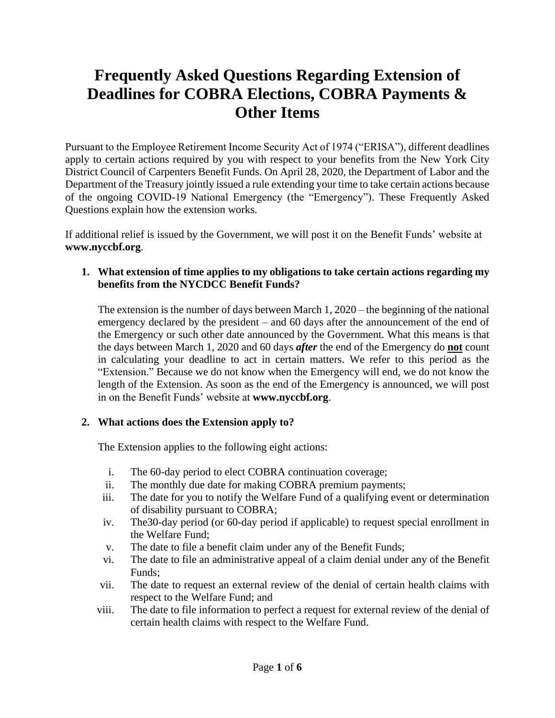# **Frequently Asked Questions Regarding Extension of Deadlines for COBRA Elections, COBRA Payments & Other Items**

Pursuant to the Employee Retirement Income Security Act of 1974 ("ERISA"), different deadlines apply to certain actions required by you with respect to your benefits from the New York City District Council of Carpenters Benefit Funds. On April 28, 2020, the Department of Labor and the Department of the Treasury jointly issued a rule extending your time to take certain actions because of the ongoing COVID-19 National Emergency (the "Emergency"). These Frequently Asked Questions explain how the extension works.

If additional relief is issued by the Government, we will post it on the Benefit Funds' website at **www.nyccbf.org**.

# **1. What extension of time applies to my obligations to take certain actions regarding my benefits from the NYCDCC Benefit Funds?**

The extension is the number of days between March 1, 2020 – the beginning of the national emergency declared by the president – and 60 days after the announcement of the end of the Emergency or such other date announced by the Government. What this means is that the days between March 1, 2020 and 60 days *after* the end of the Emergency do **not** count in calculating your deadline to act in certain matters. We refer to this period as the "Extension." Because we do not know when the Emergency will end, we do not know the length of the Extension. As soon as the end of the Emergency is announced, we will post in on the Benefit Funds' website at **www.nyccbf.org**.

# **2. What actions does the Extension apply to?**

The Extension applies to the following eight actions:

- i. The 60-day period to elect COBRA continuation coverage;
- ii. The monthly due date for making COBRA premium payments;
- iii. The date for you to notify the Welfare Fund of a qualifying event or determination of disability pursuant to COBRA;
- iv. The30-day period (or 60-day period if applicable) to request special enrollment in the Welfare Fund;
- v. The date to file a benefit claim under any of the Benefit Funds;
- vi. The date to file an administrative appeal of a claim denial under any of the Benefit Funds;
- vii. The date to request an external review of the denial of certain health claims with respect to the Welfare Fund; and
- viii. The date to file information to perfect a request for external review of the denial of certain health claims with respect to the Welfare Fund.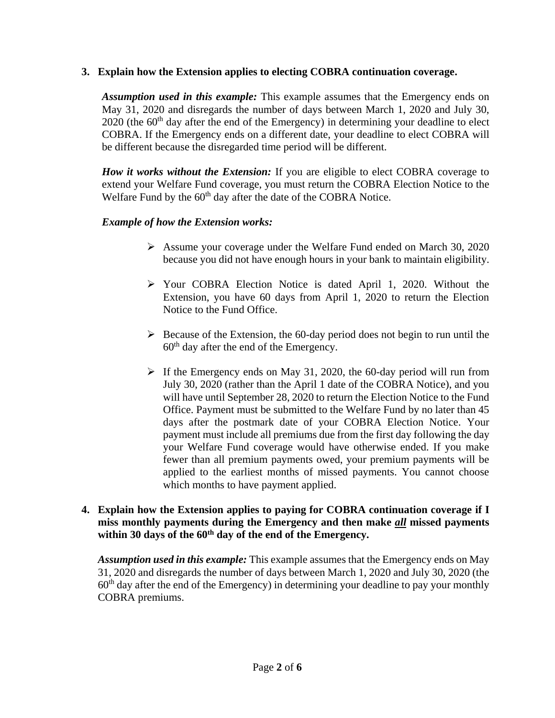## **3. Explain how the Extension applies to electing COBRA continuation coverage.**

*Assumption used in this example:* This example assumes that the Emergency ends on May 31, 2020 and disregards the number of days between March 1, 2020 and July 30,  $2020$  (the  $60<sup>th</sup>$  day after the end of the Emergency) in determining your deadline to elect COBRA. If the Emergency ends on a different date, your deadline to elect COBRA will be different because the disregarded time period will be different.

*How it works without the Extension:* If you are eligible to elect COBRA coverage to extend your Welfare Fund coverage, you must return the COBRA Election Notice to the Welfare Fund by the 60<sup>th</sup> day after the date of the COBRA Notice.

## *Example of how the Extension works:*

- ➢ Assume your coverage under the Welfare Fund ended on March 30, 2020 because you did not have enough hours in your bank to maintain eligibility.
- ➢ Your COBRA Election Notice is dated April 1, 2020. Without the Extension, you have 60 days from April 1, 2020 to return the Election Notice to the Fund Office.
- $\triangleright$  Because of the Extension, the 60-day period does not begin to run until the  $60<sup>th</sup>$  day after the end of the Emergency.
- $\triangleright$  If the Emergency ends on May 31, 2020, the 60-day period will run from July 30, 2020 (rather than the April 1 date of the COBRA Notice), and you will have until September 28, 2020 to return the Election Notice to the Fund Office. Payment must be submitted to the Welfare Fund by no later than 45 days after the postmark date of your COBRA Election Notice. Your payment must include all premiums due from the first day following the day your Welfare Fund coverage would have otherwise ended. If you make fewer than all premium payments owed, your premium payments will be applied to the earliest months of missed payments. You cannot choose which months to have payment applied.

### **4. Explain how the Extension applies to paying for COBRA continuation coverage if I miss monthly payments during the Emergency and then make** *all* **missed payments within 30 days of the 60th day of the end of the Emergency.**

*Assumption used in this example:* This example assumes that the Emergency ends on May 31, 2020 and disregards the number of days between March 1, 2020 and July 30, 2020 (the  $60<sup>th</sup>$  day after the end of the Emergency) in determining your deadline to pay your monthly COBRA premiums.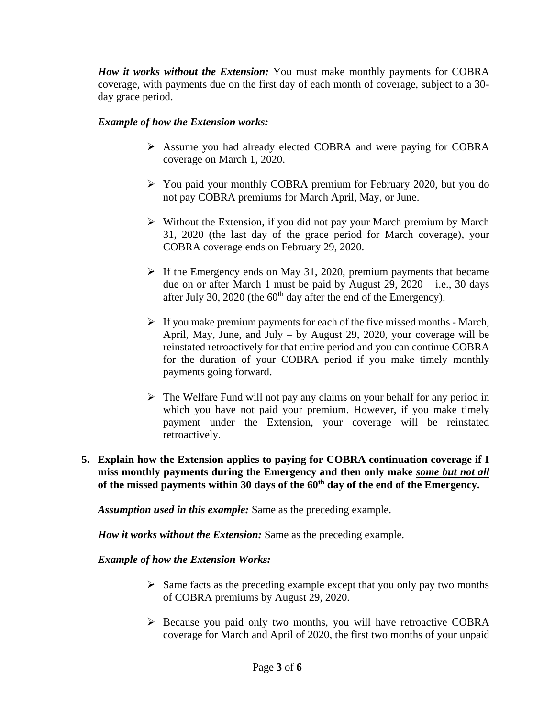*How it works without the Extension:* You must make monthly payments for COBRA coverage, with payments due on the first day of each month of coverage, subject to a 30 day grace period.

### *Example of how the Extension works:*

- ➢ Assume you had already elected COBRA and were paying for COBRA coverage on March 1, 2020.
- ➢ You paid your monthly COBRA premium for February 2020, but you do not pay COBRA premiums for March April, May, or June.
- ➢ Without the Extension, if you did not pay your March premium by March 31, 2020 (the last day of the grace period for March coverage), your COBRA coverage ends on February 29, 2020.
- $\triangleright$  If the Emergency ends on May 31, 2020, premium payments that became due on or after March 1 must be paid by August 29, 2020 – i.e., 30 days after July 30, 2020 (the  $60<sup>th</sup>$  day after the end of the Emergency).
- $\triangleright$  If you make premium payments for each of the five missed months March, April, May, June, and July – by August 29, 2020, your coverage will be reinstated retroactively for that entire period and you can continue COBRA for the duration of your COBRA period if you make timely monthly payments going forward.
- $\triangleright$  The Welfare Fund will not pay any claims on your behalf for any period in which you have not paid your premium. However, if you make timely payment under the Extension, your coverage will be reinstated retroactively.
- **5. Explain how the Extension applies to paying for COBRA continuation coverage if I miss monthly payments during the Emergency and then only make** *some but not all* **of the missed payments within 30 days of the 60th day of the end of the Emergency.**

*Assumption used in this example:* Same as the preceding example.

*How it works without the Extension:* Same as the preceding example.

*Example of how the Extension Works:*

- $\triangleright$  Same facts as the preceding example except that you only pay two months of COBRA premiums by August 29, 2020.
- ➢ Because you paid only two months, you will have retroactive COBRA coverage for March and April of 2020, the first two months of your unpaid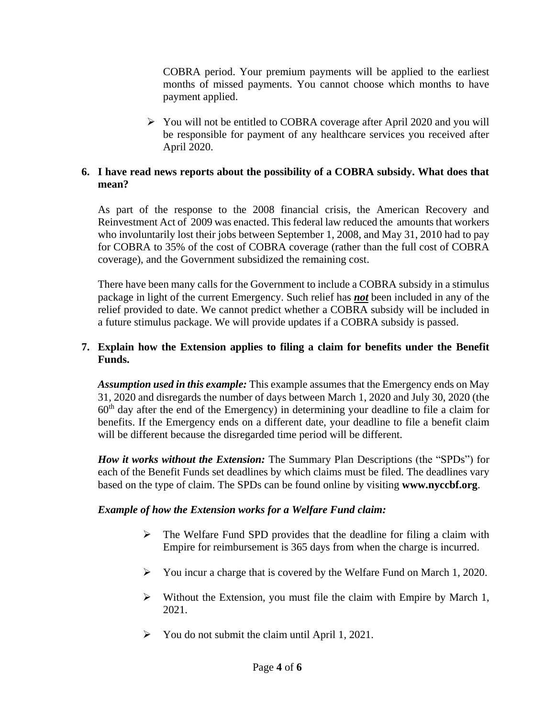COBRA period. Your premium payments will be applied to the earliest months of missed payments. You cannot choose which months to have payment applied.

➢ You will not be entitled to COBRA coverage after April 2020 and you will be responsible for payment of any healthcare services you received after April 2020.

# **6. I have read news reports about the possibility of a COBRA subsidy. What does that mean?**

As part of the response to the 2008 financial crisis, the American Recovery and Reinvestment Act of 2009 was enacted. This federal law reduced the amounts that workers who involuntarily lost their jobs between September 1, 2008, and May 31, 2010 had to pay for COBRA to 35% of the cost of COBRA coverage (rather than the full cost of COBRA coverage), and the Government subsidized the remaining cost.

There have been many calls for the Government to include a COBRA subsidy in a stimulus package in light of the current Emergency. Such relief has *not* been included in any of the relief provided to date. We cannot predict whether a COBRA subsidy will be included in a future stimulus package. We will provide updates if a COBRA subsidy is passed.

## **7. Explain how the Extension applies to filing a claim for benefits under the Benefit Funds.**

*Assumption used in this example:* This example assumes that the Emergency ends on May 31, 2020 and disregards the number of days between March 1, 2020 and July 30, 2020 (the  $60<sup>th</sup>$  day after the end of the Emergency) in determining your deadline to file a claim for benefits. If the Emergency ends on a different date, your deadline to file a benefit claim will be different because the disregarded time period will be different.

*How it works without the Extension:* The Summary Plan Descriptions (the "SPDs") for each of the Benefit Funds set deadlines by which claims must be filed. The deadlines vary based on the type of claim. The SPDs can be found online by visiting **www.nyccbf.org**.

### *Example of how the Extension works for a Welfare Fund claim:*

- $\triangleright$  The Welfare Fund SPD provides that the deadline for filing a claim with Empire for reimbursement is 365 days from when the charge is incurred.
- ➢ You incur a charge that is covered by the Welfare Fund on March 1, 2020.
- ➢ Without the Extension, you must file the claim with Empire by March 1, 2021.
- $\triangleright$  You do not submit the claim until April 1, 2021.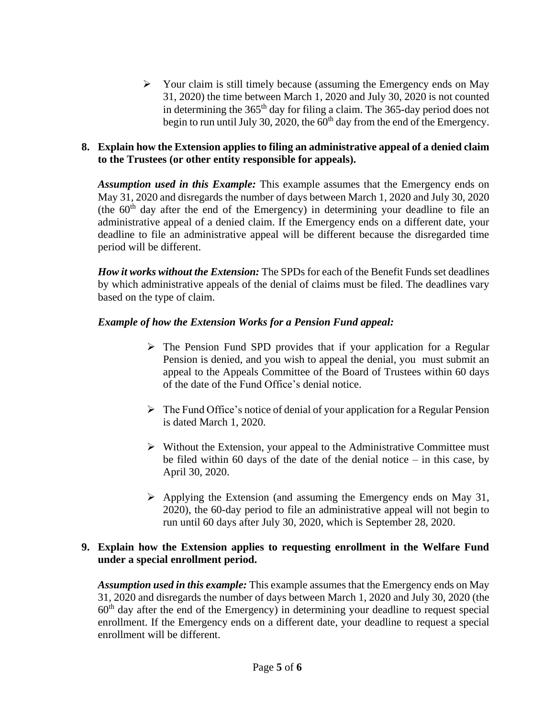➢ Your claim is still timely because (assuming the Emergency ends on May 31, 2020) the time between March 1, 2020 and July 30, 2020 is not counted in determining the 365<sup>th</sup> day for filing a claim. The 365-day period does not begin to run until July 30, 2020, the  $60<sup>th</sup>$  day from the end of the Emergency.

## **8. Explain how the Extension applies to filing an administrative appeal of a denied claim to the Trustees (or other entity responsible for appeals).**

*Assumption used in this Example:* This example assumes that the Emergency ends on May 31, 2020 and disregards the number of days between March 1, 2020 and July 30, 2020 (the  $60<sup>th</sup>$  day after the end of the Emergency) in determining your deadline to file an administrative appeal of a denied claim. If the Emergency ends on a different date, your deadline to file an administrative appeal will be different because the disregarded time period will be different.

*How it works without the Extension:* The SPDs for each of the Benefit Funds set deadlines by which administrative appeals of the denial of claims must be filed. The deadlines vary based on the type of claim.

## *Example of how the Extension Works for a Pension Fund appeal:*

- ➢ The Pension Fund SPD provides that if your application for a Regular Pension is denied, and you wish to appeal the denial, you must submit an appeal to the Appeals Committee of the Board of Trustees within 60 days of the date of the Fund Office's denial notice.
- $\triangleright$  The Fund Office's notice of denial of your application for a Regular Pension is dated March 1, 2020.
- $\triangleright$  Without the Extension, your appeal to the Administrative Committee must be filed within 60 days of the date of the denial notice – in this case, by April 30, 2020.
- $\triangleright$  Applying the Extension (and assuming the Emergency ends on May 31, 2020), the 60-day period to file an administrative appeal will not begin to run until 60 days after July 30, 2020, which is September 28, 2020.

## **9. Explain how the Extension applies to requesting enrollment in the Welfare Fund under a special enrollment period.**

*Assumption used in this example:* This example assumes that the Emergency ends on May 31, 2020 and disregards the number of days between March 1, 2020 and July 30, 2020 (the  $60<sup>th</sup>$  day after the end of the Emergency) in determining your deadline to request special enrollment. If the Emergency ends on a different date, your deadline to request a special enrollment will be different.